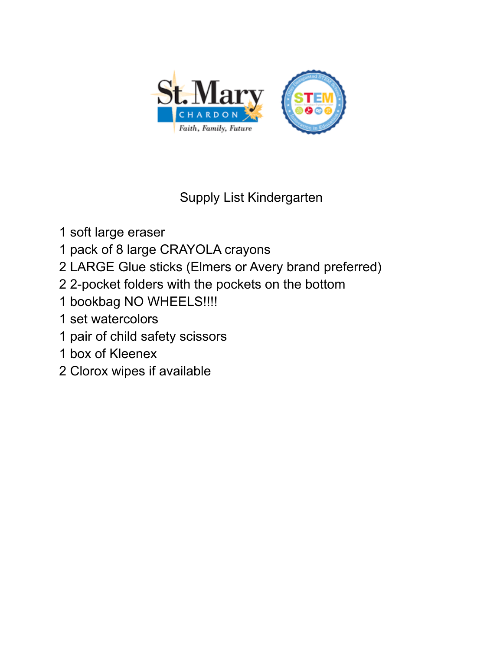

## Supply List Kindergarten

- soft large eraser
- pack of 8 large CRAYOLA crayons
- LARGE Glue sticks (Elmers or Avery brand preferred)
- 2-pocket folders with the pockets on the bottom
- bookbag NO WHEELS!!!!
- set watercolors
- pair of child safety scissors
- box of Kleenex
- Clorox wipes if available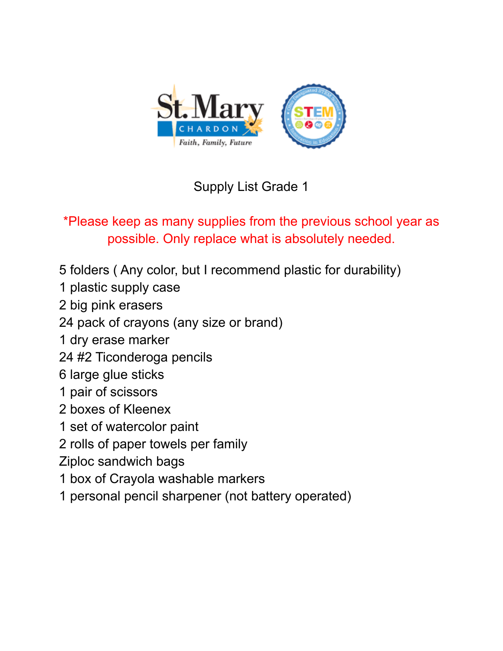

\*Please keep as many supplies from the previous school year as possible. Only replace what is absolutely needed.

- folders ( Any color, but I recommend plastic for durability)
- plastic supply case
- big pink erasers
- pack of crayons (any size or brand)
- dry erase marker
- #2 Ticonderoga pencils
- large glue sticks
- pair of scissors
- boxes of Kleenex
- set of watercolor paint
- rolls of paper towels per family
- Ziploc sandwich bags
- box of Crayola washable markers
- personal pencil sharpener (not battery operated)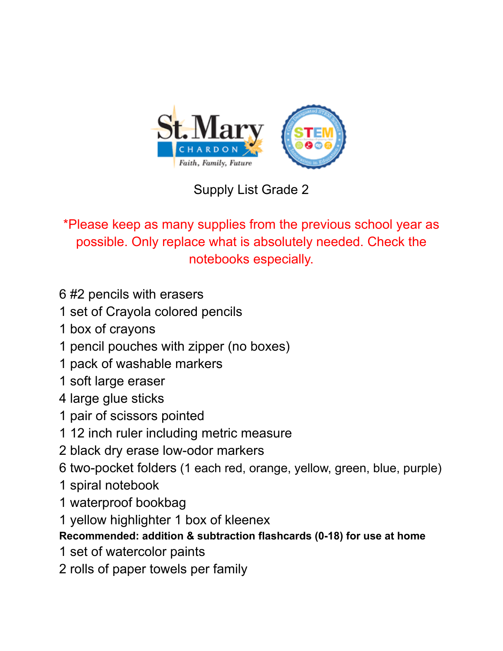

\*Please keep as many supplies from the previous school year as possible. Only replace what is absolutely needed. Check the notebooks especially.

- #2 pencils with erasers
- set of Crayola colored pencils
- box of crayons
- pencil pouches with zipper (no boxes)
- pack of washable markers
- soft large eraser
- large glue sticks
- pair of scissors pointed
- 12 inch ruler including metric measure
- black dry erase low-odor markers
- two-pocket folders (1 each red, orange, yellow, green, blue, purple)
- spiral notebook
- waterproof bookbag
- yellow highlighter 1 box of kleenex

### **Recommended: addition & subtraction flashcards (0-18) for use at home**

- set of watercolor paints
- rolls of paper towels per family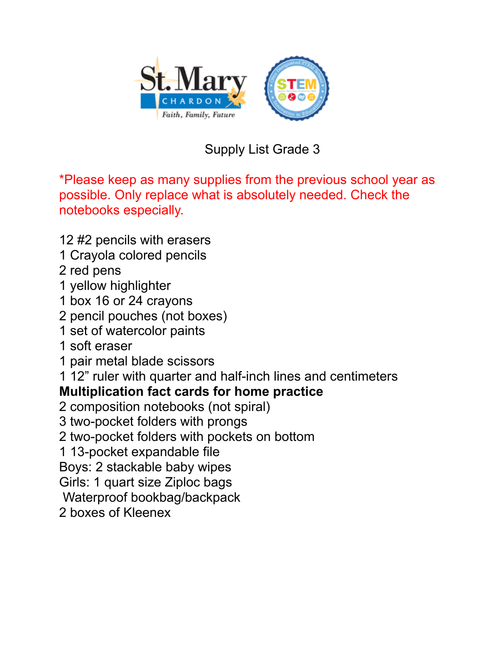

\*Please keep as many supplies from the previous school year as possible. Only replace what is absolutely needed. Check the notebooks especially.

#2 pencils with erasers

- Crayola colored pencils
- red pens
- yellow highlighter
- box 16 or 24 crayons
- pencil pouches (not boxes)
- set of watercolor paints
- soft eraser
- pair metal blade scissors
- 12" ruler with quarter and half-inch lines and centimeters

### **Multiplication fact cards for home practice**

- composition notebooks (not spiral)
- two-pocket folders with prongs
- two-pocket folders with pockets on bottom
- 13-pocket expandable file

Boys: 2 stackable baby wipes

Girls: 1 quart size Ziploc bags

Waterproof bookbag/backpack

boxes of Kleenex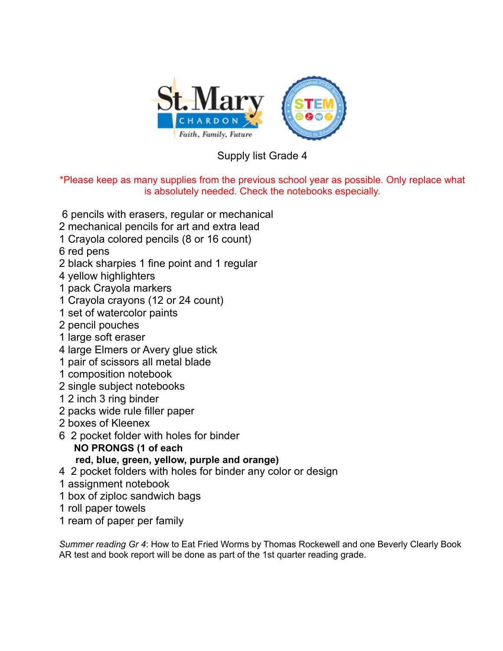

\*Please keep as many supplies from the previous school year as possible. Only replace what is absolutely needed. Check the notebooks especially.

- pencils with erasers, regular or mechanical
- mechanical pencils for art and extra lead
- Crayola colored pencils (8 or 16 count)
- red pens
- black sharpies 1 fine point and 1 regular
- yellow highlighters
- pack Crayola markers
- Crayola crayons (12 or 24 count)
- set of watercolor paints
- pencil pouches
- large soft eraser
- large Elmers or Avery glue stick
- pair of scissors all metal blade
- composition notebook
- single subject notebooks
- 2 inch 3 ring binder
- packs wide rule filler paper
- boxes of Kleenex
- 2 pocket folder with holes for binder
	- **NO PRONGS (1 of each red, blue, green, yellow, purple and orange)**
- 2 pocket folders with holes for binder any color or design
- assignment notebook
- box of ziploc sandwich bags
- roll paper towels
- ream of paper per family

*Summer reading Gr 4*: How to Eat Fried Worms by Thomas Rockewell and one Beverly Clearly Book AR test and book report will be done as part of the 1st quarter reading grade.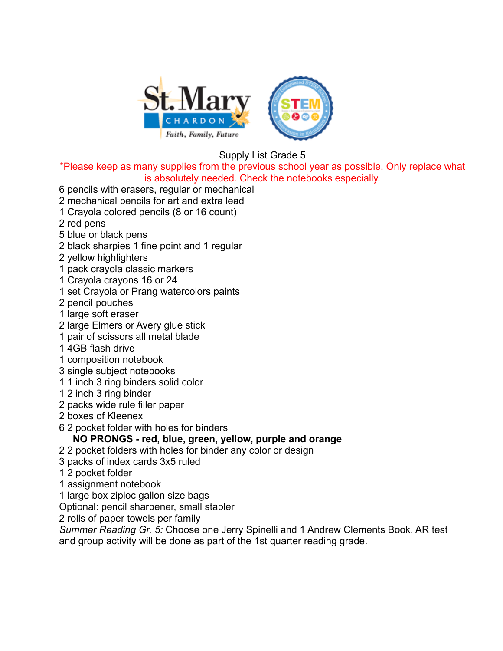

\*Please keep as many supplies from the previous school year as possible. Only replace what is absolutely needed. Check the notebooks especially.

- 6 pencils with erasers, regular or mechanical
- 2 mechanical pencils for art and extra lead
- 1 Crayola colored pencils (8 or 16 count)
- 2 red pens
- 5 blue or black pens
- 2 black sharpies 1 fine point and 1 regular
- 2 yellow highlighters
- 1 pack crayola classic markers
- 1 Crayola crayons 16 or 24
- 1 set Crayola or Prang watercolors paints
- 2 pencil pouches
- 1 large soft eraser
- 2 large Elmers or Avery glue stick
- 1 pair of scissors all metal blade
- 1 4GB flash drive
- 1 composition notebook
- 3 single subject notebooks
- 1 1 inch 3 ring binders solid color
- 1 2 inch 3 ring binder
- 2 packs wide rule filler paper
- 2 boxes of Kleenex
- 6 2 pocket folder with holes for binders

#### **NO PRONGS - red, blue, green, yellow, purple and orange**

- 2 2 pocket folders with holes for binder any color or design
- 3 packs of index cards 3x5 ruled
- 1 2 pocket folder
- 1 assignment notebook
- 1 large box ziploc gallon size bags
- Optional: pencil sharpener, small stapler
- 2 rolls of paper towels per family

*Summer Reading Gr. 5:* Choose one Jerry Spinelli and 1 Andrew Clements Book. AR test and group activity will be done as part of the 1st quarter reading grade.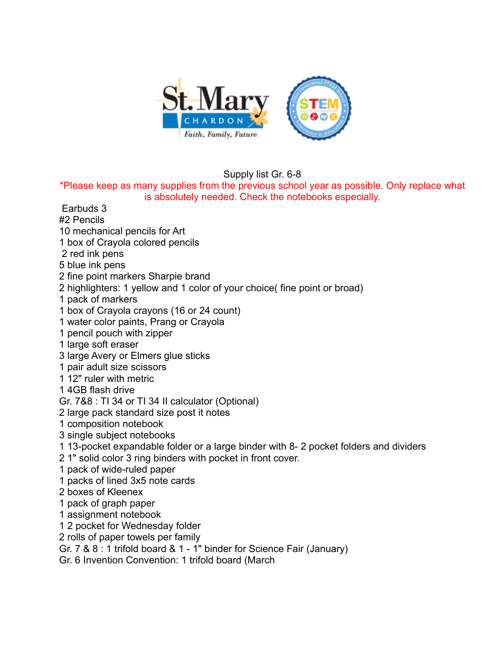

Supply list Gr. 6-8

\*Please keep as many supplies from the previous school year as possible. Only replace what is absolutely needed. Check the notebooks especially.

- Earbuds 3
- #2 Pencils
- 10 mechanical pencils for Art
- 1 box of Crayola colored pencils
- 2 red ink pens
- 5 blue ink pens
- 2 fine point markers Sharpie brand
- 2 highlighters: 1 yellow and 1 color of your choice( fine point or broad)
- 1 pack of markers
- 1 box of Crayola crayons (16 or 24 count)
- 1 water color paints, Prang or Crayola
- 1 pencil pouch with zipper
- 1 large soft eraser
- 3 large Avery or Elmers glue sticks
- 1 pair adult size scissors
- 1 12" ruler with metric
- 1 4GB flash drive
- Gr. 7&8 : TI 34 or TI 34 II calculator (Optional)
- 2 large pack standard size post it notes
- 1 composition notebook
- 3 single subject notebooks
- 1 13-pocket expandable folder or a large binder with 8- 2 pocket folders and dividers
- 2 1" solid color 3 ring binders with pocket in front cover.
- 1 pack of wide-ruled paper
- 1 packs of lined 3x5 note cards
- 2 boxes of Kleenex
- 1 pack of graph paper
- 1 assignment notebook
- 1 2 pocket for Wednesday folder
- 2 rolls of paper towels per family
- Gr. 7 & 8 : 1 trifold board & 1 1" binder for Science Fair (January)
- Gr. 6 Invention Convention: 1 trifold board (March